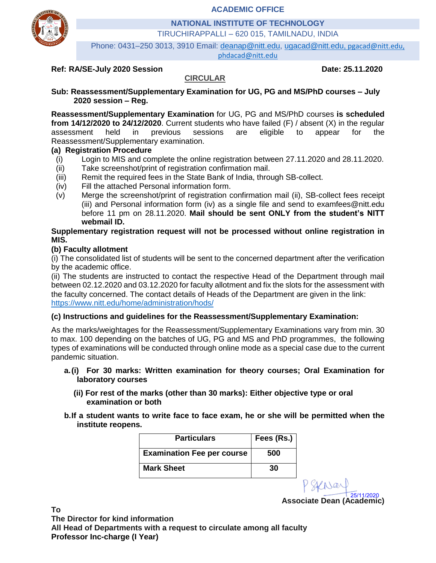**ACADEMIC OFFICE**



**NATIONAL INSTITUTE OF TECHNOLOGY**

TIRUCHIRAPPALLI – 620 015, TAMILNADU, INDIA

Phone: 0431–250 3013, 3910 Email: [deanap@nitt.edu,](mailto:deanap@nitt.edu) [ugacad@nitt.edu,](mailto:ugacad@nitt.edu) [pgacad@nitt.edu,](mailto:pgacad@nitt.edu) phdacad@nitt.edu

#### **Ref: RA/SE-July 2020 Session Date: 25.11.2020**

### **CIRCULAR**

**Sub: Reassessment/Supplementary Examination for UG, PG and MS/PhD courses – July 2020 session – Reg.**

**Reassessment/Supplementary Examination** for UG, PG and MS/PhD courses **is scheduled from 14/12/2020 to 24/12/2020**. Current students who have failed (F) / absent (X) in the regular assessment held in previous sessions are eligible to appear for the Reassessment/Supplementary examination.

#### **(a) Registration Procedure**

- (i) Login to MIS and complete the online registration between 27.11.2020 and 28.11.2020.
- (ii) Take screenshot/print of registration confirmation mail.
- (iii) Remit the required fees in the State Bank of India, through SB-collect.
- (iv) Fill the attached Personal information form.
- (v) Merge the screenshot/print of registration confirmation mail (ii), SB-collect fees receipt (iii) and Personal information form (iv) as a single file and send to examfees@nitt.edu before 11 pm on 28.11.2020. **Mail should be sent ONLY from the student's NITT webmail ID.**

#### **Supplementary registration request will not be processed without online registration in MIS.**

#### **(b) Faculty allotment**

(i) The consolidated list of students will be sent to the concerned department after the verification by the academic office.

(ii) The students are instructed to contact the respective Head of the Department through mail between 02.12.2020 and 03.12.2020 for faculty allotment and fix the slots for the assessment with the faculty concerned. The contact details of Heads of the Department are given in the link: <https://www.nitt.edu/home/administration/hods/>

#### **(c) Instructions and guidelines for the Reassessment/Supplementary Examination:**

As the marks/weightages for the Reassessment/Supplementary Examinations vary from min. 30 to max. 100 depending on the batches of UG, PG and MS and PhD programmes, the following types of examinations will be conducted through online mode as a special case due to the current pandemic situation.

- **a.(i) For 30 marks: Written examination for theory courses; Oral Examination for laboratory courses**
	- **(ii) For rest of the marks (other than 30 marks): Either objective type or oral examination or both**
- **b.If a student wants to write face to face exam, he or she will be permitted when the institute reopens.**

| <b>Particulars</b>                | Fees (Rs.) |  |  |
|-----------------------------------|------------|--|--|
| <b>Examination Fee per course</b> | 500        |  |  |
| <b>Mark Sheet</b>                 | 30         |  |  |

**Associate Dean (Academic)** 25/11/2020

**To The Director for kind information All Head of Departments with a request to circulate among all faculty Professor Inc-charge (I Year)**